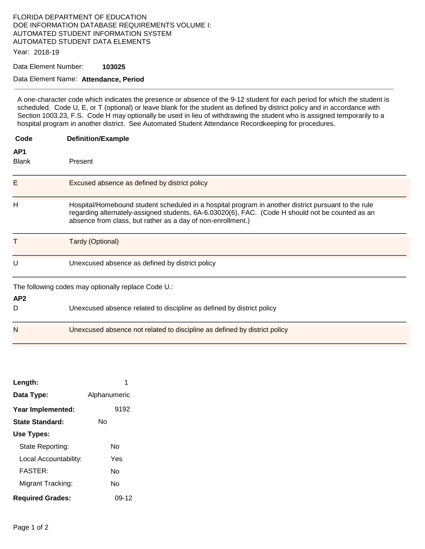### FLORIDA DEPARTMENT OF EDUCATION DOE INFORMATION DATABASE REQUIREMENTS VOLUME I: AUTOMATED STUDENT INFORMATION SYSTEM AUTOMATED STUDENT DATA ELEMENTS

Year: 2018-19

Data Element Number: **103025** 

#### Data Element Name: **Attendance, Period**

A one-character code which indicates the presence or absence of the 9-12 student for each period for which the student is scheduled. Code U, E, or T (optional) or leave blank for the student as defined by district policy and in accordance with Section 1003.23, F.S. Code H may optionally be used in lieu of withdrawing the student who is assigned temporarily to a hospital program in another district. See Automated Student Attendance Recordkeeping for procedures.

| Code                | <b>Definition/Example</b>                                                                                                                                                                                                                                              |  |
|---------------------|------------------------------------------------------------------------------------------------------------------------------------------------------------------------------------------------------------------------------------------------------------------------|--|
| AP1<br><b>Blank</b> | Present                                                                                                                                                                                                                                                                |  |
| Е                   | Excused absence as defined by district policy                                                                                                                                                                                                                          |  |
| Н                   | Hospital/Homebound student scheduled in a hospital program in another district pursuant to the rule<br>regarding alternately-assigned students, 6A-6.03020(6), FAC. (Code H should not be counted as an<br>absence from class, but rather as a day of non-enrollment.) |  |
| Т                   | Tardy (Optional)                                                                                                                                                                                                                                                       |  |
| U                   | Unexcused absence as defined by district policy                                                                                                                                                                                                                        |  |
| AP <sub>2</sub>     | The following codes may optionally replace Code U.:                                                                                                                                                                                                                    |  |
| D                   | Unexcused absence related to discipline as defined by district policy                                                                                                                                                                                                  |  |
| N                   | Unexcused absence not related to discipline as defined by district policy                                                                                                                                                                                              |  |

| Length:                 |              |
|-------------------------|--------------|
| Data Type:              | Alphanumeric |
| Year Implemented:       | 9192         |
| <b>State Standard:</b>  | N٥           |
| Use Types:              |              |
| State Reporting:        | N٥           |
| Local Accountability:   | Yes          |
| <b>FASTER:</b>          | N٥           |
| Migrant Tracking:       | N٥           |
| <b>Required Grades:</b> | 09-12        |